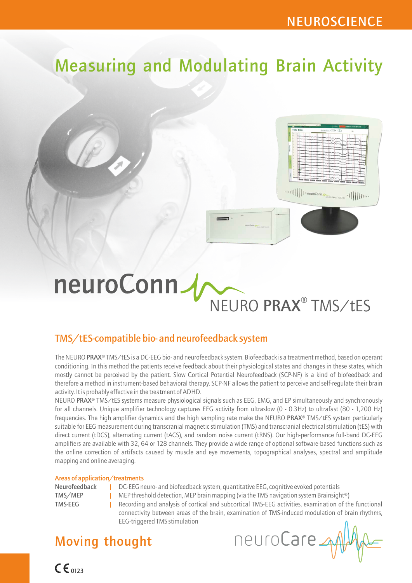# Measuring and Modulating Brain Activity



# neuroConn NEURO PRAX<sup>®</sup> TMS/tES

## TMS/tES-compatible bio- and neurofeedback system

The NEURO PRAX® TMS/tES is a DC-EEG bio- and neurofeedback system. Biofeedback is a treatment method, based on operant conditioning. In this method the patients receive feedback about their physiological states and changes in these states, which mostly cannot be perceived by the patient. Slow Cortical Potential Neurofeedback (SCP-NF) is a kind of biofeedback and therefore a method in instrument-based behavioral therapy. SCP-NF allows the patient to perceive and self-regulate their brain activity. It is probably effective in the treatment of ADHD.

NEURO PRAX<sup>®</sup> TMS/tES systems measure physiological signals such as EEG, EMG, and EP simultaneously and synchronously for all channels. Unique amplifier technology captures EEG activity from ultraslow (0 - 0.3Hz) to ultrafast (80 - 1,200 Hz) frequencies. The high amplifier dynamics and the high sampling rate make the NEURO PRAX® TMS/tES system particularly suitable for EEG measurement during transcranial magnetic stimulation (TMS) and transcranial electrical stimulation (tES) with direct current (tDCS), alternating current (tACS), and random noise current (tRNS). Our high-performance full-band DC-EEG amplifiers are available with 32, 64 or 128 channels. They provide a wide range of optional software-based functions such as the online correction of artifacts caused by muscle and eye movements, topographical analyses, spectral and amplitude mapping and online averaging.

#### Areas of application/treatments

 $C \epsilon_{0123}$ 

- Neurofeedback | DC-EEG neuro- and biofeedback system, quantitative EEG, cognitive evoked potentials
- | TMS/MEP MEP threshold detection, MEP brain mapping (via the TMS navigation system Brainsight®)
- TMS-EEG Recording and analysis of cortical and subcortical TMS-EEG activities, examination of the functional

| connectivity between areas of the brain, examination of TMS-induced modulation of brain rhythms, EEG-triggered TMS stimulation

## Moving thought